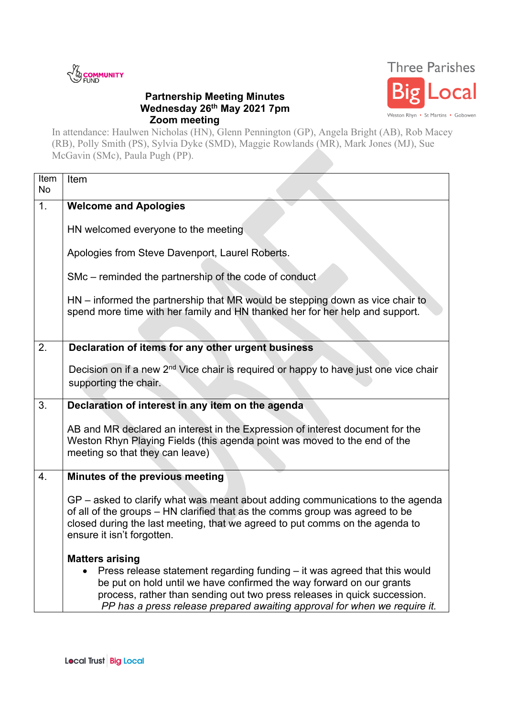

## **Partnership Meeting Minutes Wednesday 26th May 2021 7pm Zoom meeting**



In attendance: Haulwen Nicholas (HN), Glenn Pennington (GP), Angela Bright (AB), Rob Macey (RB), Polly Smith (PS), Sylvia Dyke (SMD), Maggie Rowlands (MR), Mark Jones (MJ), Sue McGavin (SMc), Paula Pugh (PP).

| Item<br><b>No</b> | Item                                                                                                                                                                                                                                                                                                                                 |
|-------------------|--------------------------------------------------------------------------------------------------------------------------------------------------------------------------------------------------------------------------------------------------------------------------------------------------------------------------------------|
| 1.                | <b>Welcome and Apologies</b>                                                                                                                                                                                                                                                                                                         |
|                   | HN welcomed everyone to the meeting                                                                                                                                                                                                                                                                                                  |
|                   | Apologies from Steve Davenport, Laurel Roberts.                                                                                                                                                                                                                                                                                      |
|                   | SMc – reminded the partnership of the code of conduct                                                                                                                                                                                                                                                                                |
|                   | $HN - informed the partnership that MR would be stepping down as vice chair to$<br>spend more time with her family and HN thanked her for her help and support.                                                                                                                                                                      |
|                   |                                                                                                                                                                                                                                                                                                                                      |
| 2.                | Declaration of items for any other urgent business                                                                                                                                                                                                                                                                                   |
|                   | Decision on if a new 2 <sup>nd</sup> Vice chair is required or happy to have just one vice chair                                                                                                                                                                                                                                     |
|                   | supporting the chair.                                                                                                                                                                                                                                                                                                                |
| 3.                | Declaration of interest in any item on the agenda                                                                                                                                                                                                                                                                                    |
|                   | AB and MR declared an interest in the Expression of interest document for the<br>Weston Rhyn Playing Fields (this agenda point was moved to the end of the<br>meeting so that they can leave)                                                                                                                                        |
| 4.                | Minutes of the previous meeting                                                                                                                                                                                                                                                                                                      |
|                   | GP – asked to clarify what was meant about adding communications to the agenda<br>of all of the groups – HN clarified that as the comms group was agreed to be<br>closed during the last meeting, that we agreed to put comms on the agenda to<br>ensure it isn't forgotten.                                                         |
|                   | <b>Matters arising</b><br>Press release statement regarding funding - it was agreed that this would<br>be put on hold until we have confirmed the way forward on our grants<br>process, rather than sending out two press releases in quick succession.<br>PP has a press release prepared awaiting approval for when we require it. |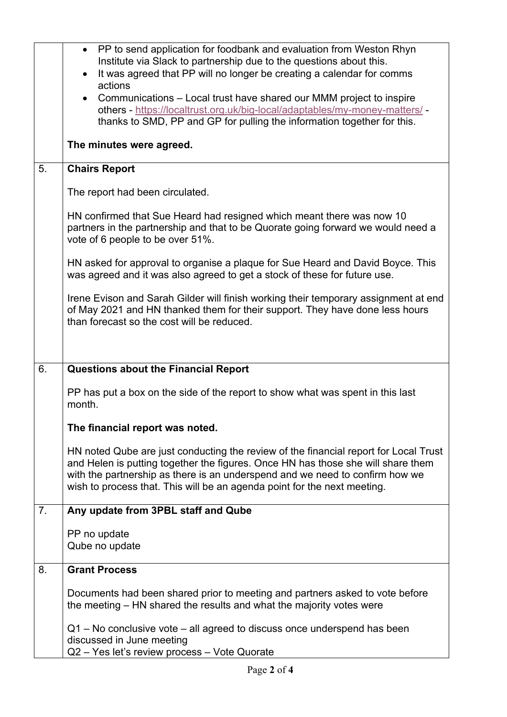| Institute via Slack to partnership due to the questions about this.                                                                                                                                                                                                                                                                  |
|--------------------------------------------------------------------------------------------------------------------------------------------------------------------------------------------------------------------------------------------------------------------------------------------------------------------------------------|
| It was agreed that PP will no longer be creating a calendar for comms                                                                                                                                                                                                                                                                |
| • Communications – Local trust have shared our MMM project to inspire<br>others - https://localtrust.org.uk/big-local/adaptables/my-money-matters/ -<br>thanks to SMD, PP and GP for pulling the information together for this.                                                                                                      |
|                                                                                                                                                                                                                                                                                                                                      |
|                                                                                                                                                                                                                                                                                                                                      |
|                                                                                                                                                                                                                                                                                                                                      |
| HN confirmed that Sue Heard had resigned which meant there was now 10<br>partners in the partnership and that to be Quorate going forward we would need a                                                                                                                                                                            |
| HN asked for approval to organise a plaque for Sue Heard and David Boyce. This<br>was agreed and it was also agreed to get a stock of these for future use.                                                                                                                                                                          |
| Irene Evison and Sarah Gilder will finish working their temporary assignment at end<br>of May 2021 and HN thanked them for their support. They have done less hours                                                                                                                                                                  |
|                                                                                                                                                                                                                                                                                                                                      |
|                                                                                                                                                                                                                                                                                                                                      |
| PP has put a box on the side of the report to show what was spent in this last                                                                                                                                                                                                                                                       |
|                                                                                                                                                                                                                                                                                                                                      |
| HN noted Qube are just conducting the review of the financial report for Local Trust<br>and Helen is putting together the figures. Once HN has those she will share them<br>with the partnership as there is an underspend and we need to confirm how we<br>wish to process that. This will be an agenda point for the next meeting. |
|                                                                                                                                                                                                                                                                                                                                      |
|                                                                                                                                                                                                                                                                                                                                      |
|                                                                                                                                                                                                                                                                                                                                      |
| Documents had been shared prior to meeting and partners asked to vote before                                                                                                                                                                                                                                                         |
| $Q1$ – No conclusive vote – all agreed to discuss once underspend has been                                                                                                                                                                                                                                                           |
|                                                                                                                                                                                                                                                                                                                                      |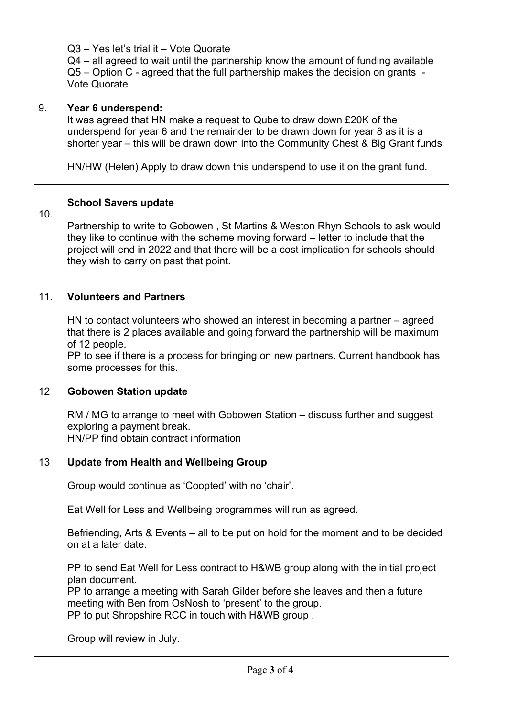|     | Q3 - Yes let's trial it - Vote Quorate<br>$Q4$ – all agreed to wait until the partnership know the amount of funding available<br>Q5 - Option C - agreed that the full partnership makes the decision on grants -<br><b>Vote Quorate</b>                                                                                                            |
|-----|-----------------------------------------------------------------------------------------------------------------------------------------------------------------------------------------------------------------------------------------------------------------------------------------------------------------------------------------------------|
| 9.  | Year 6 underspend:<br>It was agreed that HN make a request to Qube to draw down £20K of the<br>underspend for year 6 and the remainder to be drawn down for year 8 as it is a<br>shorter year – this will be drawn down into the Community Chest & Big Grant funds<br>HN/HW (Helen) Apply to draw down this underspend to use it on the grant fund. |
|     |                                                                                                                                                                                                                                                                                                                                                     |
| 10. | <b>School Savers update</b>                                                                                                                                                                                                                                                                                                                         |
|     | Partnership to write to Gobowen, St Martins & Weston Rhyn Schools to ask would<br>they like to continue with the scheme moving forward - letter to include that the<br>project will end in 2022 and that there will be a cost implication for schools should<br>they wish to carry on past that point.                                              |
| 11. | <b>Volunteers and Partners</b>                                                                                                                                                                                                                                                                                                                      |
|     | HN to contact volunteers who showed an interest in becoming a partner $-$ agreed<br>that there is 2 places available and going forward the partnership will be maximum<br>of 12 people.<br>PP to see if there is a process for bringing on new partners. Current handbook has                                                                       |
|     | some processes for this.                                                                                                                                                                                                                                                                                                                            |
| 12  | <b>Gobowen Station update</b>                                                                                                                                                                                                                                                                                                                       |
|     | RM / MG to arrange to meet with Gobowen Station – discuss further and suggest<br>exploring a payment break.<br>HN/PP find obtain contract information                                                                                                                                                                                               |
| 13  | <b>Update from Health and Wellbeing Group</b>                                                                                                                                                                                                                                                                                                       |
|     | Group would continue as 'Coopted' with no 'chair'.                                                                                                                                                                                                                                                                                                  |
|     | Eat Well for Less and Wellbeing programmes will run as agreed.                                                                                                                                                                                                                                                                                      |
|     | Befriending, Arts & Events – all to be put on hold for the moment and to be decided<br>on at a later date.                                                                                                                                                                                                                                          |
|     | PP to send Eat Well for Less contract to H&WB group along with the initial project<br>plan document.<br>PP to arrange a meeting with Sarah Gilder before she leaves and then a future<br>meeting with Ben from OsNosh to 'present' to the group.<br>PP to put Shropshire RCC in touch with H&WB group.                                              |